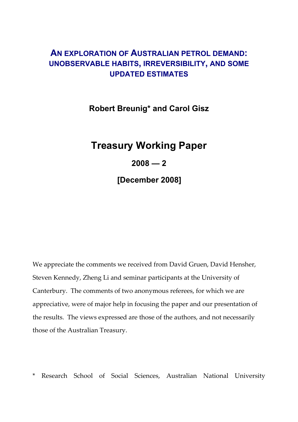# **AN EXPLORATION OF AUSTRALIAN PETROL DEMAND: UNOBSERVABLE HABITS, IRREVERSIBILITY, AND SOME UPDATED ESTIMATES**

**Robert Breunig\* and Carol Gisz** 

# **Treasury Working Paper**

# **2008 — 2**

**[December 2008]** 

We appreciate the comments we received from David Gruen, David Hensher, Steven Kennedy, Zheng Li and seminar participants at the University of Canterbury. The comments of two anonymous referees, for which we are appreciative, were of major help in focusing the paper and our presentation of the results. The views expressed are those of the authors, and not necessarily those of the Australian Treasury.

\* Research School of Social Sciences, Australian National University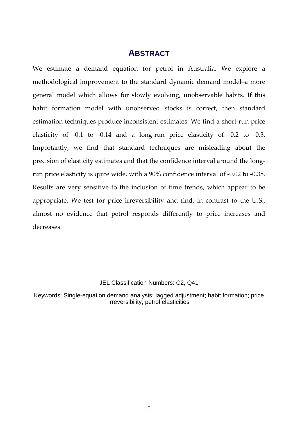# **ABSTRACT**

We estimate a demand equation for petrol in Australia. We explore a methodological improvement to the standard dynamic demand model–a more general model which allows for slowly evolving, unobservable habits. If this habit formation model with unobserved stocks is correct, then standard estimation techniques produce inconsistent estimates. We find a short‐run price elasticity of  $-0.1$  to  $-0.14$  and a long-run price elasticity of  $-0.2$  to  $-0.3$ . Importantly, we find that standard techniques are misleading about the precision of elasticity estimates and that the confidence interval around the longrun price elasticity is quite wide, with a 90% confidence interval of ‐0.02 to ‐0.38. Results are very sensitive to the inclusion of time trends, which appear to be appropriate. We test for price irreversibility and find, in contrast to the U.S., almost no evidence that petrol responds differently to price increases and decreases.

# JEL Classification Numbers: C2, Q41

Keywords: Single-equation demand analysis; lagged adjustment; habit formation; price irreversibility; petrol elasticities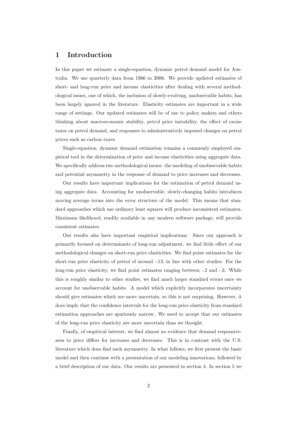# **1 Introduction**

In this paper we estimate a single-equation, dynamic petrol demand model for Australia. We use quarterly data from 1966 to 2006. We provide updated estimates of short- and long-run price and income elasticities after dealing with several methodological issues, one of which, the inclusion of slowly-evolving, unobservable habits, has been largely ignored in the literature. Elasticity estimates are important in a wide range of settings. Our updated estimates will be of use to policy makers and others thinking about macroeconomic stability, petrol price instability, the effect of excise taxes on petrol demand, and responses to administratively imposed changes on petrol prices such as carbon taxes.

Single-equation, dynamic demand estimation remains a commonly employed empirical tool in the determination of price and income elasticities using aggregate data. We specifically address two methodological issues: the modeling of unobservable habits and potential asymmetry in the response of demand to price increases and decreases.

Our results have important implications for the estimation of petrol demand using aggregate data. Accounting for unobservable, slowly-changing habits introduces moving average terms into the error structure of the model. This means that standard approaches which use ordinary least squares will produce inconsistent estimates. Maximum likelihood, readily available in any modern software package, will provide consistent estimates.

Our results also have important empirical implications. Since our approach is primarily focused on determinants of long-run adjustment, we find little effect of our methodological changes on short-run price elasticities. We find point estimates for the short-run price elasticity of petrol of around -.13, in line with other studies. For the long-run price elasticity, we find point estimates ranging between -.2 and -.3. While this is roughly similar to other studies, we find much larger standard errors once we account for unobservable habits. A model which explicitly incorporates uncertainty should give estimates which are more uncertain, so this is not surprising. However, it does imply that the confidence intervals for the long-run price elasticity from standard estimation approaches are spuriously narrow. We need to accept that our estimates of the long-run price elasticity are more uncertain than we thought.

Finally, of empirical interest, we find almost no evidence that demand responsiveness to price differs for increases and decreases. This is in contrast with the U.S. literature which does find such asymmetry. In what follows, we first present the basic model and then continue with a presentation of our modeling innovations, followed by a brief description of our data. Our results are presented in section 4. In section 5 we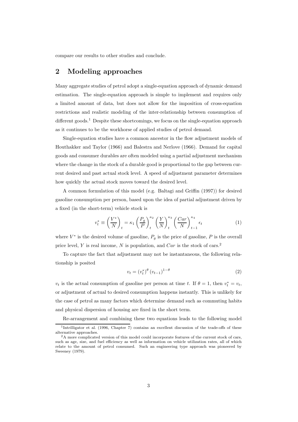compare our results to other studies and conclude.

# **2 Modeling approaches**

Many aggregate studies of petrol adopt a single-equation approach of dynamic demand estimation. The single-equation approach is simple to implement and requires only a limited amount of data, but does not allow for the imposition of cross-equation restrictions and realistic modeling of the inter-relationship between consumption of different goods.<sup>1</sup> Despite these shortcomings, we focus on the single-equation approach as it continues to be the workhorse of applied studies of petrol demand.

Single-equation studies have a common ancestor in the flow adjustment models of Houthakker and Taylor (1966) and Balestra and Nerlove (1966). Demand for capital goods and consumer durables are often modeled using a partial adjustment mechanism where the change in the stock of a durable good is proportional to the gap between current desired and past actual stock level. A speed of adjustment parameter determines how quickly the actual stock moves toward the desired level.

A common formulation of this model (e.g. Baltagi and Griffin (1997)) for desired gasoline consumption per person, based upon the idea of partial adjustment driven by a fixed (in the short-term) vehicle stock is

$$
v_t^* \equiv \left(\frac{V^*}{N}\right)_t = \kappa_1 \left(\frac{P_g}{P}\right)_t^{\kappa_2} \left(\frac{Y}{N}\right)_t^{\kappa_3} \left(\frac{Car}{N}\right)_{t-1}^{\kappa_4} \epsilon_t
$$
 (1)

where  $V^*$  is the desired volume of gasoline,  $P_g$  is the price of gasoline, P is the overall price level, Y is real income, N is population, and  $Car$  is the stock of cars.<sup>2</sup>

To capture the fact that adjustment may not be instantaneous, the following relationship is posited

$$
v_t = (v_t^*)^{\theta} (v_{t-1})^{1-\theta}
$$
 (2)

 $v_t$  is the actual consumption of gasoline per person at time t. If  $\theta = 1$ , then  $v_t^* = v_t$ , or adjustment of actual to desired consumption happens instantly. This is unlikely for the case of petrol as many factors which determine demand such as commuting habits and physical dispersion of housing are fixed in the short term.

Re-arrangement and combining these two equations leads to the following model

 $\frac{1}{1}$ Intrilligator et al. (1996, Chapter 7) contains an excellent discussion of the trade-offs of these alternative approaches.

<sup>&</sup>lt;sup>2</sup>A more complicated version of this model could incorporate features of the current stock of cars, such as age, size, and fuel efficiency as well as information on vehicle utilization rates, all of which relate to the amount of petrol consumed. Such an engineering type approach was pioneered by Sweeney (1979).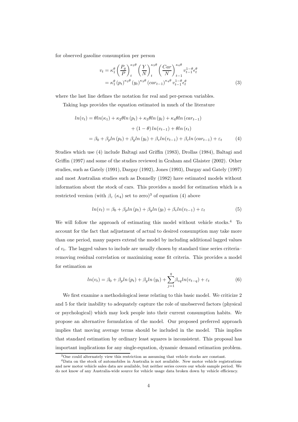for observed gasoline consumption per person

$$
v_t = \kappa_1^{\theta} \left(\frac{P_g}{P}\right)_t^{\kappa_2 \theta} \left(\frac{Y}{N}\right)_t^{\kappa_3 \theta} \left(\frac{Car}{N}\right)_{t-1}^{\kappa_4 \theta} v_{t-1}^{1-\theta} \epsilon_t^{\theta}
$$

$$
= \kappa_1^{\theta} (p_t)^{\kappa_2 \theta} (y_t)^{\kappa_3 \theta} (car_{t-1})^{\kappa_4 \theta} v_{t-1}^{1-\theta} \epsilon_t^{\theta}
$$
(3)

where the last line defines the notation for real and per-person variables.

Taking logs provides the equation estimated in much of the literature

$$
ln(v_t) = \theta ln(\kappa_1) + \kappa_2 \theta ln (p_t) + \kappa_3 \theta ln (y_t) + \kappa_4 \theta ln (car_{t-1})
$$

$$
+ (1 - \theta) ln(v_{t-1}) + \theta ln (\epsilon_t)
$$

$$
= \beta_0 + \beta_p ln (p_t) + \beta_y ln (y_t) + \beta_v ln(v_{t-1}) + \beta_c ln (car_{t-1}) + \varepsilon_t \tag{4}
$$

Studies which use (4) include Baltagi and Griffin (1983), Drollas (1984), Baltagi and Griffin (1997) and some of the studies reviewed in Graham and Glaister (2002). Other studies, such as Gately (1991), Dargay (1992), Jones (1993), Dargay and Gately (1997) and most Australian studies such as Donnelly (1982) have estimated models without information about the stock of cars. This provides a model for estimation which is a restricted version (with  $\beta_c$  ( $\kappa_4$ ) set to zero)<sup>3</sup> of equation (4) above

$$
ln(v_t) = \beta_0 + \beta_p ln(p_t) + \beta_y ln(y_t) + \beta_v ln(v_{t-1}) + \varepsilon_t
$$
\n(5)

We will follow the approach of estimating this model without vehicle stocks.<sup>4</sup> To account for the fact that adjustment of actual to desired consumption may take more than one period, many papers extend the model by including additional lagged values of  $v_t$ . The lagged values to include are usually chosen by standard time series criteria– removing residual correlation or maximizing some fit criteria. This provides a model for estimation as ual correlation or maximizing some fit of<br>
as<br>  $ln(v_t) = \beta_0 + \beta_p ln (p_t) + \beta_y ln (y_t) + \sum_{i=1}^{q}$ 

$$
ln(v_t) = \beta_0 + \beta_p ln(p_t) + \beta_y ln(y_t) + \sum_{j=1}^q \beta_{vq} ln(v_{t-q}) + \varepsilon_t
$$
\n(6)

We first examine a methodological issue relating to this basic model. We criticize 2 and 5 for their inability to adequately capture the role of unobserved factors (physical or psychological) which may lock people into their current consumption habits. We propose an alternative formulation of the model. Our proposed preferred approach implies that moving average terms should be included in the model. This implies that standard estimation by ordinary least squares is inconsistent. This proposal has important implications for any single-equation, dynamic demand estimation problem.

<sup>3</sup>One could alternately view this restriction as assuming that vehicle stocks are constant.

<sup>4</sup>Data on the stock of automobiles in Australia is not available. New motor vehicle registrations and new motor vehicle sales data are available, but neither series covers our whole sample period. We do not know of any Australia-wide source for vehicle usage data broken down by vehicle efficiency.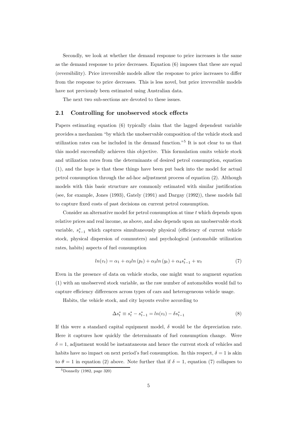Secondly, we look at whether the demand response to price increases is the same as the demand response to price decreases. Equation (6) imposes that these are equal (reversibility). Price irreversible models allow the response to price increases to differ from the response to price decreases. This is less novel, but price irreversible models have not previously been estimated using Australian data.

The next two sub-sections are devoted to these issues.

#### **2.1 Controlling for unobserved stock effects**

Papers estimating equation (6) typically claim that the lagged dependent variable provides a mechanism "by which the unobservable composition of the vehicle stock and utilization rates can be included in the demand function."<sup>5</sup> It is not clear to us that this model successfully achieves this objective. This formulation omits vehicle stock and utilization rates from the determinants of desired petrol consumption, equation (1), and the hope is that these things have been put back into the model for actual petrol consumption through the ad-hoc adjustment process of equation (2). Although models with this basic structure are commonly estimated with similar justification (see, for example, Jones (1993), Gately (1991) and Dargay (1992)), these models fail to capture fixed costs of past decisions on current petrol consumption.

Consider an alternative model for petrol consumption at time t which depends upon relative prices and real income, as above, and also depends upon an unobservable stock variable,  $s_{t-1}^*$  which captures simultaneously physical (efficiency of current vehicle stock, physical dispersion of commuters) and psychological (automobile utilization rates, habits) aspects of fuel consumption

$$
ln(v_t) = \alpha_1 + \alpha_2 ln (p_t) + \alpha_3 ln (y_t) + \alpha_4 s_{t-1}^* + w_t
$$
\n(7)

Even in the presence of data on vehicle stocks, one might want to augment equation (1) with an unobserved stock variable, as the raw number of automobiles would fail to capture efficiency differences across types of cars and heterogeneous vehicle usage.

Habits, the vehicle stock, and city layouts evolve according to

$$
\Delta s_t^* \equiv s_t^* - s_{t-1}^* = \ln(v_t) - \delta s_{t-1}^* \tag{8}
$$

If this were a standard capital equipment model,  $\delta$  would be the depreciation rate. Here it captures how quickly the determinants of fuel consumption change. Were  $\delta = 1$ , adjustment would be instantaneous and hence the current stock of vehicles and habits have no impact on next period's fuel consumption. In this respect,  $\delta = 1$  is akin to  $\theta = 1$  in equation (2) above. Note further that if  $\delta = 1$ , equation (7) collapses to

 $5$ Donnelly (1982, page 320)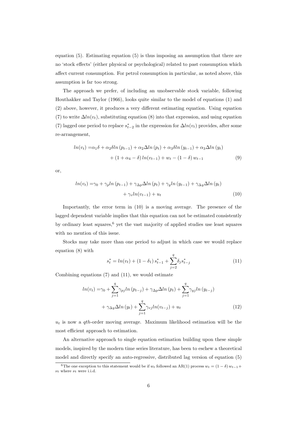equation (5). Estimating equation (5) is thus imposing an assumption that there are no 'stock effects' (either physical or psychological) related to past consumption which affect current consumption. For petrol consumption in particular, as noted above, this assumption is far too strong.

The approach we prefer, of including an unobservable stock variable, following Houthakker and Taylor (1966), looks quite similar to the model of equations (1) and (2) above, however, it produces a very different estimating equation. Using equation (7) to write  $\Delta ln(v_t)$ , substituting equation (8) into that expression, and using equation (7) lagged one period to replace  $s_{t-2}^*$  in the expression for  $\Delta ln(v_t)$  provides, after some re-arrangement,

$$
ln(v_t) = \alpha_1 \delta + \alpha_2 \delta ln (p_{t-1}) + \alpha_2 \Delta ln (p_t) + \alpha_3 \delta ln (y_{t-1}) + \alpha_3 \Delta ln (y_t) + (1 + \alpha_4 - \delta) ln (v_{t-1}) + w_t - (1 - \delta) w_{t-1}
$$
(9)

or,

$$
ln(v_t) = \gamma_0 + \gamma_p ln(p_{t-1}) + \gamma_{\Delta p} \Delta ln(p_t) + \gamma_y ln(y_{t-1}) + \gamma_{\Delta y} \Delta ln(y_t) + \gamma_v ln(v_{t-1}) + u_t
$$
\n(10)

Importantly, the error term in (10) is a moving average. The presence of the lagged dependent variable implies that this equation can not be estimated consistently by ordinary least squares, $6$  yet the vast majority of applied studies use least squares with no mention of this issue.

Stocks may take more than one period to adjust in which case we would replace equation (8) with adjust in<br> $t_{t-1} + \sum_{i=2}^{q}$ 

$$
s_t^* = \ln(v_t) + (1 - \delta_1) s_{t-1}^* + \sum_{j=2}^q \delta_j s_{t-j}^* \tag{11}
$$

Combining equations (7) and (11), we would estimate

$$
s_{t} = in(v_{t}) + (1 - \delta_{1}) s_{t-1} + \sum_{j=2} \delta_{j} s_{t-j}
$$
\n
$$
\text{equations (7) and (11), we would estimate}
$$
\n
$$
ln(v_{t}) = \gamma_{0} + \sum_{j=1}^{q} \gamma_{pj} ln (p_{t-j}) + \gamma_{\Delta p} \Delta ln (p_{t}) + \sum_{j=1}^{q} \gamma_{yj} ln (y_{t-j}) + \gamma_{\Delta y} \Delta ln (y_{t}) + \sum_{j=1}^{q} \gamma_{vj} ln (v_{t-j}) + u_{t}
$$
\n
$$
(12)
$$

 $u_t$  is now a qth-order moving average. Maximum likelihood estimation will be the most efficient approach to estimation.

An alternative approach to single equation estimation building upon these simple models, inspired by the modern time series literature, has been to eschew a theoretical model and directly specify an auto-regressive, distributed lag version of equation (5)

<sup>&</sup>lt;sup>6</sup>The one exception to this statement would be if  $w_t$  followed an AR(1) process  $w_t = (1 - \delta) w_{t-1} +$  $\nu_t$  where  $\nu_t$  were i.i.d.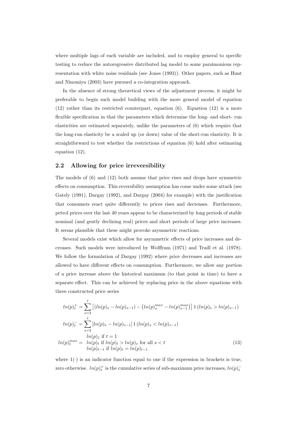where multiple lags of each variable are included, and to employ general to specific testing to reduce the autoregressive distributed lag model to some parsimonious representation with white noise residuals (see Jones (1993)). Other papers, such as Hunt and Ninomiya (2003) have pursued a co-integration approach.

In the absence of strong theoretical views of the adjustment process, it might be preferable to begin such model building with the more general model of equation (12) rather than its restricted counterpart, equation (6). Equation (12) is a more flexible specification in that the parameters which determine the long- and short- run elasticities are estimated separately, unlike the parameters of (6) which require that the long-run elasticity be a scaled up (or down) value of the short-run elasticity. It is straightforward to test whether the restrictions of equation (6) hold after estimating equation (12).

#### **2.2 Allowing for price irreversibility**

The models of (6) and (12) both assume that price rises and drops have symmetric effects on consumption. This reversibility assumption has come under some attack (see Gately (1991), Dargay (1992), and Dargay (2004) for example) with the justification that consumers react quite differently to prices rises and decreases. Furthermore, petrol prices over the last 40 years appear to be characterized by long periods of stable nominal (and gently declining real) prices and short periods of large price increases. It seems plausible that these might provoke asymmetric reactions.

Several models exist which allow for asymmetric effects of price increases and decreases. Such models were introduced by Wolffram (1971) and Traill et al. (1978). We follow the formulation of Dargay (1992) where price decreases and increases are allowed to have different effects on consumption. Furthermore, we allow any portion of a price increase above the historical maximum (to that point in time) to have a separate effect. This can be achieved by replacing price in the above equations with<br>three constructed price series<br> $ln(p)_t^+ = \sum_{s=2}^t [(ln(p)_s - ln(p)_{s-1}) - (ln(p)_{s}^{max} - ln(p)_{s-1}^{max})] \cdot 1 (ln(p)_s > ln(p)_{s-1})$ three constructed price series

$$
ln(p)^+_t = \sum_{s=2}^t \left[ (ln(p)_s - ln(p)_{s-1}) - (ln(p)_s^{max} - ln(p)_{s-1}^{max}) \right] 1 (ln(p)_s > ln(p)_{s-1})
$$
  
\n
$$
ln(p)^-_t = \sum_{s=2}^t \left[ ln(p)_s - ln(p)_{s-1} \right] 1 (ln(p)_s < ln(p)_{s-1})
$$
  
\n
$$
ln(p)^n_t \text{ if } t = 1
$$
  
\n
$$
ln(p)^{max}_t = ln(p)_t \text{ if } ln(p)_t > ln(p)_s \text{ for all } s < t
$$
  
\n
$$
ln(p)_{t-1} \text{ if } ln(p)_t = ln(p)_{t-1}
$$
\n(13)

where  $1(\cdot)$  is an indicator function equal to one if the expression in brackets is true, zero otherwise.  $ln(p)<sup>+</sup><sub>t</sub>$  is the cumulative series of sub-maximum price increases,  $ln(p)<sup>-</sup><sub>t</sub>$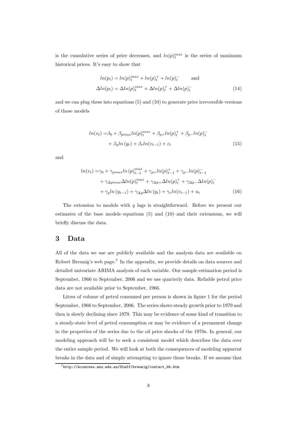is the cumulative series of price decreases, and  $ln(p)<sub>t</sub><sup>max</sup>$  is the series of maximum historical prices. It's easy to show that

$$
ln(p_t) = ln(p)_t^{max} + ln(p)_t^+ + ln(p)_t^-
$$
 and  

$$
\Delta ln(p_t) = \Delta ln(p)_t^{max} + \Delta ln(p)_t^+ + \Delta ln(p)_t^-
$$
 (14)

and we can plug these into equations (5) and (10) to generate price irreversible versions of those models

$$
ln(v_t) = \beta_0 + \beta_{pmax} ln(p)_t^{max} + \beta_{p+} ln(p)_t^+ + \beta_{p-} ln(p)_t^- + \beta_y ln(y_t) + \beta_v ln(v_{t-1}) + \varepsilon_t
$$
\n(15)

and

$$
ln(v_t) = \gamma_0 + \gamma_{pmax} ln(p)_{t-1}^{max} + \gamma_{p+} ln(p)_{t-1}^+ + \gamma_{p-} ln(p)_{t-1}^-
$$
  
+ 
$$
\gamma_{\Delta pmax} \Delta ln(p)_{t}^{max} + \gamma_{\Delta p+} \Delta ln(p)_{t}^+ + \gamma_{\Delta p-} \Delta ln(p)_{t}^-
$$
  
+ 
$$
\gamma_y ln(y_{t-1}) + \gamma_{\Delta y} \Delta ln(y_t) + \gamma_v ln(v_{t-1}) + u_t
$$
 (16)

The extension to models with  $q$  lags is straightforward. Before we present our estimates of the base models–equations (5) and (10)–and their extensions, we will briefly discuss the data.

# **3 Data**

All of the data we use are publicly available and the analysis data are available on Robert Breunig's web page.<sup>7</sup> In the appendix, we provide details on data sources and detailed univariate ARIMA analysis of each variable. Our sample estimation period is September, 1966 to September, 2006 and we use quarterly data. Reliable petrol price data are not available prior to September, 1966.

Litres of volume of petrol consumed per person is shown in figure 1 for the period September, 1966 to September, 2006. The series shows steady growth prior to 1979 and then is slowly declining since 1979. This may be evidence of some kind of transition to a steady-state level of petrol consumption or may be evidence of a permanent change in the properties of the series due to the oil price shocks of the 1970s. In general, our modeling approach will be to seek a consistent model which describes the data over the entire sample period. We will look at both the consequences of modeling apparent breaks in the data and of simply attempting to ignore those breaks. If we assume that

<sup>7</sup>http://econrsss.anu.edu.au/Staff/breunig/contact\_bb.htm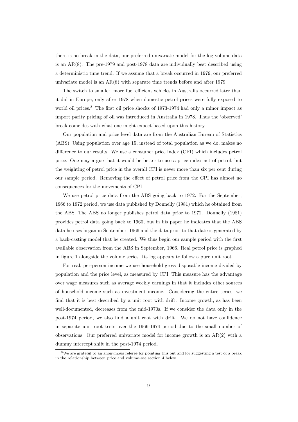there is no break in the data, our preferred univariate model for the log volume data is an  $AR(8)$ . The pre-1979 and post-1978 data are individually best described using a deterministic time trend. If we assume that a break occurred in 1979, our preferred univariate model is an AR(8) with separate time trends before and after 1979.

The switch to smaller, more fuel efficient vehicles in Australia occurred later than it did in Europe, only after 1978 when domestic petrol prices were fully exposed to world oil prices.<sup>8</sup> The first oil price shocks of 1973-1974 had only a minor impact as import parity pricing of oil was introduced in Australia in 1978. Thus the 'observed' break coincides with what one might expect based upon this history.

Our population and price level data are from the Australian Bureau of Statistics (ABS). Using population over age 15, instead of total population as we do, makes no difference to our results. We use a consumer price index (CPI) which includes petrol price. One may argue that it would be better to use a price index net of petrol, but the weighting of petrol price in the overall CPI is never more than six per cent during our sample period. Removing the effect of petrol price from the CPI has almost no consequences for the movements of CPI.

We use petrol price data from the ABS going back to 1972. For the September, 1966 to 1972 period, we use data published by Donnelly (1981) which he obtained from the ABS. The ABS no longer publishes petrol data prior to 1972. Donnelly (1981) provides petrol data going back to 1960, but in his paper he indicates that the ABS data he uses began in September, 1966 and the data prior to that date is generated by a back-casting model that he created. We thus begin our sample period with the first available observation from the ABS in September, 1966. Real petrol price is graphed in figure 1 alongside the volume series. Its log appears to follow a pure unit root.

For real, per-person income we use household gross disposable income divided by population and the price level, as measured by CPI. This measure has the advantage over wage measures such as average weekly earnings in that it includes other sources of household income such as investment income. Considering the entire series, we find that it is best described by a unit root with drift. Income growth, as has been well-documented, decreases from the mid-1970s. If we consider the data only in the post-1974 period, we also find a unit root with drift. We do not have confidence in separate unit root tests over the 1966-1974 period due to the small number of observations. Our preferred univariate model for income growth is an  $AR(2)$  with a dummy intercept shift in the post-1974 period.

<sup>&</sup>lt;sup>8</sup>We are grateful to an anonymous referee for pointing this out and for suggesting a test of a break in the relationship between price and volume–see section 4 below.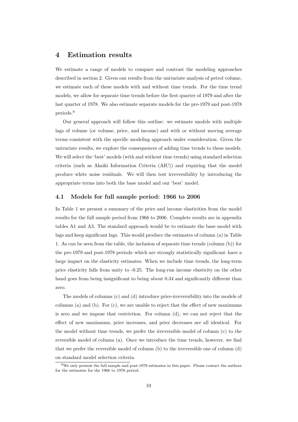# **4 Estimation results**

We estimate a range of models to compare and contrast the modeling approaches described in section 2. Given our results from the univariate analysis of petrol volume, we estimate each of these models with and without time trends. For the time trend models, we allow for separate time trends before the first quarter of 1979 and after the last quarter of 1978. We also estimate separate models for the pre-1979 and post-1978 periods.<sup>9</sup>

Our general approach will follow this outline: we estimate models with multiple lags of volume (or volume, price, and income) and with or without moving average terms consistent with the specific modeling approach under consideration. Given the univariate results, we explore the consequences of adding time trends to these models. We will select the 'best' models (with and without time trends) using standard selection criteria (such as Akaiki Information Criteria (AIC)) and requiring that the model produce white noise residuals. We will then test irreversibility by introducing the appropriate terms into both the base model and our 'best' model.

#### **4.1 Models for full sample period: 1966 to 2006**

In Table 1 we present a summary of the price and income elasticities from the model results for the full sample period from 1966 to 2006. Complete results are in appendix tables A1 and A3. The standard approach would be to estimate the base model with lags and keep significant lags. This would produce the estimates of column (a) in Table 1. As can be seen from the table, the inclusion of separate time trends (column (b)) for the pre-1979 and post-1978 periods–which are strongly statistically significant–have a large impact on the elasticity estimates. When we include time trends, the long-term price elasticity falls from unity to -0.25. The long-run income elasticity on the other hand goes from being insignificant to being about 0.34 and significantly different than zero.

The models of columns (c) and (d) introduce price-irreversibility into the models of columns (a) and (b). For  $(c)$ , we are unable to reject that the effect of new maximums is zero and we impose that restriction. For column (d), we can not reject that the effect of new maximums, price increases, and price decreases are all identical. For the model without time trends, we prefer the irreversible model of column (c) to the reversible model of column (a). Once we introduce the time trends, however, we find that we prefer the reversible model of column (b) to the irreversible one of column (d) on standard model selection criteria.

 $9$ We only present the full sample and post-1978 estimates in this paper. Please contact the authors for the estimates for the 1966 to 1978 period.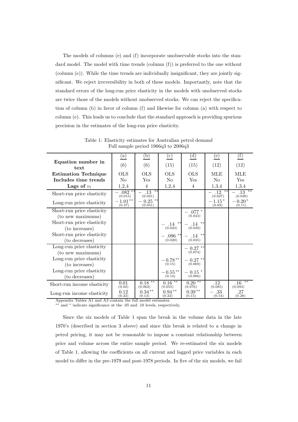The models of columns (e) and (f) incorporate unobservable stocks into the standard model. The model with time trends  $\text{(column (f))}$  is preferred to the one without (column (e)). While the time trends are individually insignificant, they are jointly significant. We reject irreversibility in both of these models. Importantly, note that the standard errors of the long-run price elasticity in the models with unobserved stocks are twice those of the models without unobserved stocks. We can reject the specification of column (b) in favor of column (f) and likewise for column (a) with respect to column (e). This leads us to conclude that the standard approach is providing spurious precision in the estimates of the long-run price elasticity.

| Equation number in<br>text<br><b>Estimation Technique</b><br>Includes time trends<br>Lags of $v_t$                                              | $\left(\mathrm{a}\right)$<br>(6)<br><b>OLS</b><br>No<br>1,2,4 | (b)<br>(6)<br><b>OLS</b><br>Yes<br>$\overline{4}$ | (c)<br>(15)<br><b>OLS</b><br>No<br>1,2,4                                  | $\left( d\right)$<br>(15)<br><b>OLS</b><br>Yes<br>$\overline{4}$              | (e)<br>(12)<br>MLE<br>N <sub>o</sub><br>1,3,4         | (f)<br>(12)<br>MLE<br>Yes<br>1,3,4          |
|-------------------------------------------------------------------------------------------------------------------------------------------------|---------------------------------------------------------------|---------------------------------------------------|---------------------------------------------------------------------------|-------------------------------------------------------------------------------|-------------------------------------------------------|---------------------------------------------|
| Short-run price elasticity<br>Long-run price elasticity                                                                                         | $-.082$ <sup>**</sup><br>(0.015)<br>$-1.01**$<br>(0.37)       | $.13***$<br>(0.021)<br>$-0.25$ **<br>(0.051)      |                                                                           |                                                                               | $.12 \rightarrow 12$<br>(0.027)<br>$-1.15*$<br>(0.69) | $-13$ **<br>(0.030)<br>$-0.20*$<br>(0.11)   |
| Short-run price elasticity<br>(to new maximums)<br>Short-run price elasticity<br>(to increases)<br>Short-run price elasticity<br>(to decreases) |                                                               |                                                   | $- .14$ **<br>(0.023)<br>$-.096**$<br>(0.020)                             | $-$ .077 $^\ast$<br>(0.043)<br>$- .14$ **<br>(0.030)<br>$- .14$ **<br>(0.035) |                                                       |                                             |
| Long-run price elasticity<br>(to new maximums)<br>Long-run price elasticity<br>(to increases)<br>Long-run price elasticity<br>(to decreases)    |                                                               |                                                   | $- \underset{(0.15)}{0.78} ^{**}$<br>$- \, 0.55^{\, \ast \ast}$<br>(0.14) | $-0.27$ **<br>(0.074)<br>$-0.27$ **<br>(0.069)<br>$-0.15*$<br>(0.086)         |                                                       |                                             |
| Short-run income elasticity<br>Long-run income elasticity<br>Amnondis Tobles, A.1, and A.9, contain the full medal optimate                     | 0.01<br>(0.02)<br>0.12<br>(0.22)                              | $0.18***$<br>(0.062)<br>$0.34***$<br>(0.13)       | $0.16***$<br>(0.055)<br>$0.94**$<br>(0.22)                                | $0.20***$<br>(0.076)<br>$0.39**$<br>(0.15)                                    | .12<br>(0.085)<br>$-.33$<br>(0.54)                    | $**$<br>$.16\,$<br>(0.093)<br>.27<br>(0.28) |

Table 1: Elasticity estimates for Australian petrol demand Full sample period 1966q3 to 2006q3

Appendix Tables A1 and A3 contain the full model estimates.

∗∗ and ∗ indicate significance at the .05 and .10 levels, respectively.

Since the six models of Table 1 span the break in the volume data in the late 1970's (described in section 3 above) and since this break is related to a change in petrol pricing, it may not be reasonable to impose a constant relationship between price and volume across the entire sample period. We re-estimated the six models of Table 1, allowing the coefficients on all current and lagged price variables in each model to differ in the pre-1979 and post-1978 periods. In five of the six models, we fail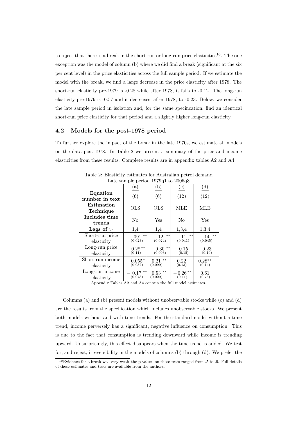to reject that there is a break in the short-run or long-run price elasticities<sup>10</sup>. The one exception was the model of column (b) where we did find a break (significant at the six per cent level) in the price elasticities across the full sample period. If we estimate the model with the break, we find a large decrease in the price elasticity after 1978. The short-run elasticity pre-1979 is -0.28 while after 1978, it falls to -0.12. The long-run elasticity pre-1979 is -0.57 and it decreases, after 1978, to -0.23. Below, we consider the late sample period in isolation and, for the same specification, find an identical short-run price elasticity for that period and a slightly higher long-run elasticity.

#### **4.2 Models for the post-1978 period**

To further explore the impact of the break in the late 1970s, we estimate all models on the data post-1978. In Table 2 we present a summary of the price and income elasticities from these results. Complete results are in appendix tables A2 and A4.

| Late sample period 191901 to 200000                         |                         |                         |                        |                         |  |  |
|-------------------------------------------------------------|-------------------------|-------------------------|------------------------|-------------------------|--|--|
|                                                             | $\left(a\right)$        | (b)                     | $^{\rm (c)}$           | $\rm ^{(d)}$            |  |  |
| Equation<br>number in text                                  | (6)                     | (6)                     | (12)                   | (12)                    |  |  |
| Estimation<br>Technique                                     | <b>OLS</b>              | OLS                     | <b>MLE</b>             | MLE                     |  |  |
| Includes time<br>trends                                     | No                      | Yes                     | No                     | Yes                     |  |  |
| Lags of $v_t$                                               | 1,4                     | 1,4                     | 1,3,4                  | 1,3,4                   |  |  |
| Short-run price<br>elasticity                               | $**$<br>.091<br>(0.023) | $**$<br>.12<br>(0.024)  | $**$<br>.11<br>(0.041) | $***$<br>.14<br>(0.045) |  |  |
| Long-run price<br>elasticity                                | $0.28***$<br>(0.11)     | $**$<br>0.30<br>(0.093) | 0.15<br>(0.15)         | $\,-\,0.23$<br>(0.19)   |  |  |
| Short-run income<br>elasticity                              | $-0.055*$<br>(0.032)    | $**$<br>0.21<br>(0.099) | 0.22<br>(0.13)         | $0.28***$<br>(0.14)     |  |  |
| Long-run income<br>elasticity                               | $-0.17$ **<br>(0.078)   | $0.53$ **<br>(0.029)    | $0.26**$<br>(0.11)     | 0.61<br>(0.76)          |  |  |
| Appendix Tables A2 and A4 contain the full model estimates. |                         |                         |                        |                         |  |  |

Table 2: Elasticity estimates for Australian petrol demand  $\frac{1}{2}$ late sample 1979 $\alpha$ 1 to 2006 $\alpha$ 3

Columns (a) and (b) present models without unobservable stocks while (c) and (d) are the results from the specification which includes unobservable stocks. We present both models without and with time trends. For the standard model without a time trend, income perversely has a significant, negative influence on consumption. This is due to the fact that consumption is trending downward while income is trending upward. Unsurprisingly, this effect disappears when the time trend is added. We test for, and reject, irreversibility in the models of columns (b) through (d). We prefer the

<sup>10</sup>Evidence for a break was very weak–the p-values on these tests ranged from .5 to .9. Full details of these estimates and tests are available from the authors.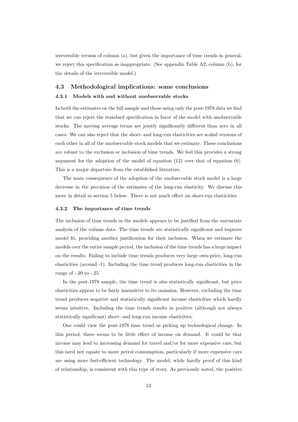irreversible version of column (a), but given the importance of time trends in general, we reject this specification as inappropriate. (See appendix Table A2, column (b), for the details of the irreversible model.)

#### **4.3 Methodological implications: some conclusions**

#### **4.3.1 Models with and without unobservable stocks**

In both the estimates on the full sample and those using only the post-1978 data we find that we can reject the standard specification in favor of the model with unobservable stocks. The moving average terms are jointly significantly different than zero in all cases. We can also reject that the short- and long-run elasticities are scaled versions of each other in all of the unobservable stock models that we estimate. These conclusions are robust to the exclusion or inclusion of time trends. We feel this provides a strong argument for the adoption of the model of equation  $(12)$  over that of equation  $(6)$ . This is a major departure from the established literature.

The main consequence of the adoption of the unobservable stock model is a large decrease in the precision of the estimates of the long-run elasticity. We discuss this more in detail in section 5 below. There is not much effect on short-run elasticities.

#### **4.3.2 The importance of time trends**

The inclusion of time trends in the models appears to be justified from the univariate analysis of the volume data. The time trends are statistically significant and improve model fit, providing another justification for their inclusion. When we estimate the models over the entire sample period, the inclusion of the time trends has a large impact on the results. Failing to include time trends produces very large own-price, long-run elasticities (around -1). Including the time trend produces long-run elasticities in the range of -.20 to -.25.

In the post-1978 sample, the time trend is also statistically significant, but price elasticities appear to be fairly insensitive to its omission. However, excluding the time trend produces negative and statistically significant income elasticities which hardly seems intuitive. Including the time trends results in positive (although not always statistically significant) short- and long-run income elasticities.

One could view the post-1978 time trend as picking up technological change. In this period, there seems to be little effect of income on demand. It could be that income may lead to increasing demand for travel and/or for more expensive cars, but this need not equate to more petrol consumption, particularly if more expensive cars are using more fuel-efficient technology. The model, while hardly proof of this kind of relationship, is consistent with this type of story. As previously noted, the positive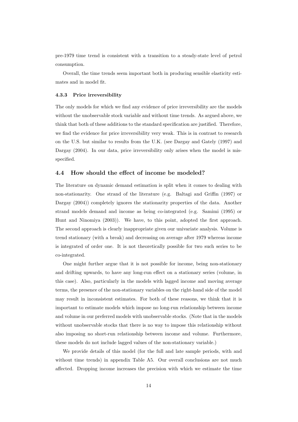pre-1979 time trend is consistent with a transition to a steady-state level of petrol consumption.

Overall, the time trends seem important both in producing sensible elasticity estimates and in model fit.

#### **4.3.3 Price irreversibility**

The only models for which we find any evidence of price irreversibility are the models without the unobservable stock variable and without time trends. As argued above, we think that both of these additions to the standard specification are justified. Therefore, we find the evidence for price irreversibility very weak. This is in contrast to research on the U.S. but similar to results from the U.K. (see Dargay and Gately (1997) and Dargay (2004). In our data, price irreversibility only arises when the model is misspecified.

### **4.4 How should the effect of income be modeled?**

The literature on dynamic demand estimation is split when it comes to dealing with non-stationarity. One strand of the literature (e.g. Baltagi and Griffin (1997) or Dargay (2004)) completely ignores the stationarity properties of the data. Another strand models demand and income as being co-integrated (e.g. Samimi (1995) or Hunt and Ninomiya (2003)). We have, to this point, adopted the first approach. The second approach is clearly inappropriate given our univariate analysis. Volume is trend stationary (with a break) and decreasing on average after 1979 whereas income is integrated of order one. It is not theoretically possible for two such series to be co-integrated.

One might further argue that it is not possible for income, being non-stationary and drifting upwards, to have any long-run effect on a stationary series (volume, in this case). Also, particularly in the models with lagged income and moving average terms, the presence of the non-stationary variables on the right-hand side of the model may result in inconsistent estimates. For both of these reasons, we think that it is important to estimate models which impose no long-run relationship between income and volume in our preferred models with unobservable stocks. (Note that in the models without unobservable stocks that there is no way to impose this relationship without also imposing no short-run relationship between income and volume. Furthermore, these models do not include lagged values of the non-stationary variable.)

We provide details of this model (for the full and late sample periods, with and without time trends) in appendix Table A5. Our overall conclusions are not much affected. Dropping income increases the precision with which we estimate the time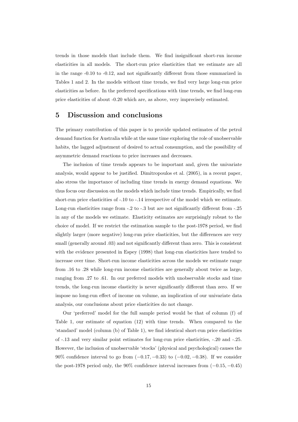trends in those models that include them. We find insignificant short-run income elasticities in all models. The short-run price elasticities that we estimate are all in the range -0.10 to -0.12, and not significantly different from those summarized in Tables 1 and 2. In the models without time trends, we find very large long-run price elasticities as before. In the preferred specifications with time trends, we find long-run price elasticities of about -0.20 which are, as above, very imprecisely estimated.

### **5 Discussion and conclusions**

The primary contribution of this paper is to provide updated estimates of the petrol demand function for Australia while at the same time exploring the role of unobservable habits, the lagged adjustment of desired to actual consumption, and the possibility of asymmetric demand reactions to price increases and decreases.

The inclusion of time trends appears to be important and, given the univariate analysis, would appear to be justified. Dimitropoulos et al. (2005), in a recent paper, also stress the importance of including time trends in energy demand equations. We thus focus our discussion on the models which include time trends. Empirically, we find short-run price elasticities of -.10 to -.14 irrespective of the model which we estimate. Long-run elasticities range from -.2 to -.3 but are not significantly different from -.25 in any of the models we estimate. Elasticity estimates are surprisingly robust to the choice of model. If we restrict the estimation sample to the post-1978 period, we find slightly larger (more negative) long-run price elasticities, but the differences are very small (generally around .03) and not significantly different than zero. This is consistent with the evidence presented in Espey (1998) that long-run elasticities have tended to increase over time. Short-run income elasticities across the models we estimate range from .16 to .28 while long-run income elasticities are generally about twice as large, ranging from .27 to .61. In our preferred models with unobservable stocks and time trends, the long-run income elasticity is never significantly different than zero. If we impose no long-run effect of income on volume, an implication of our univariate data analysis, our conclusions about price elasticities do not change.

Our 'preferred' model for the full sample period would be that of column (f) of Table 1, our estimate of equation (12) with time trends. When compared to the 'standard' model (column (b) of Table 1), we find identical short-run price elasticities of -.13 and very similar point estimates for long-run price elasticities, -.20 and -.25. However, the inclusion of unobservable 'stocks' (physical and psychological) causes the 90% confidence interval to go from  $(-0.17, -0.33)$  to  $(-0.02, -0.38)$ . If we consider the post-1978 period only, the 90% confidence interval increases from  $(-0.15, -0.45)$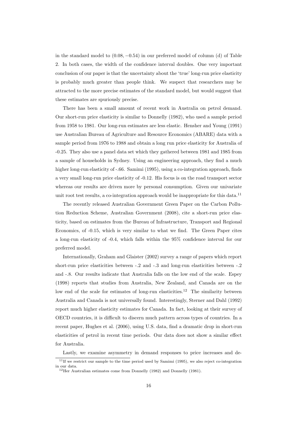in the standard model to  $(0.08, -0.54)$  in our preferred model of column (d) of Table 2. In both cases, the width of the confidence interval doubles. One very important conclusion of our paper is that the uncertainty about the 'true' long-run price elasticity is probably much greater than people think. We suspect that researchers may be attracted to the more precise estimates of the standard model, but would suggest that these estimates are spuriously precise.

There has been a small amount of recent work in Australia on petrol demand. Our short-run price elasticity is similar to Donnelly (1982), who used a sample period from 1958 to 1981. Our long-run estimates are less elastic. Hensher and Young (1991) use Australian Bureau of Agriculture and Resource Economics (ABARE) data with a sample period from 1976 to 1988 and obtain a long run price elasticity for Australia of -0.25. They also use a panel data set which they gathered between 1981 and 1985 from a sample of households in Sydney. Using an engineering approach, they find a much higher long-run elasticity of -.66. Samimi (1995), using a co-integration approach, finds a very small long-run price elasticity of -0.12. His focus is on the road transport sector whereas our results are driven more by personal consumption. Given our univariate unit root test results, a co-integration approach would be inappropriate for this data.<sup>11</sup>

The recently released Australian Government Green Paper on the Carbon Pollution Reduction Scheme, Australian Government (2008), cite a short-run price elasticity, based on estimates from the Bureau of Infrastructure, Transport and Regional Economics, of -0.15, which is very similar to what we find. The Green Paper cites a long-run elasticity of -0.4, which falls within the 95% confidence interval for our preferred model.

Internationally, Graham and Glaister (2002) survey a range of papers which report short-run price elasticities between -.2 and -.3 and long-run elasticities between -.2 and -.8. Our results indicate that Australia falls on the low end of the scale. Espey (1998) reports that studies from Australia, New Zealand, and Canada are on the low end of the scale for estimates of long-run elasticities.<sup>12</sup> The similarity between Australia and Canada is not universally found. Interestingly, Sterner and Dahl (1992) report much higher elasticity estimates for Canada. In fact, looking at their survey of OECD countries, it is difficult to discern much pattern across types of countries. In a recent paper, Hughes et al. (2006), using U.S. data, find a dramatic drop in short-run elasticities of petrol in recent time periods. Our data does not show a similar effect for Australia.

Lastly, we examine asymmetry in demand responses to price increases and de-

 $11$ If we restrict our sample to the time period used by Samimi (1995), we also reject co-integration in our data.

<sup>&</sup>lt;sup>12</sup>Her Australian estimates come from Donnelly (1982) and Donnelly (1981).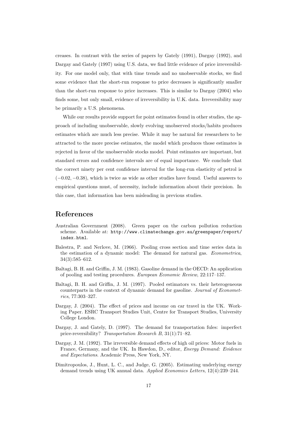creases. In contrast with the series of papers by Gately (1991), Dargay (1992), and Dargay and Gately (1997) using U.S. data, we find little evidence of price irreversibility. For one model only, that with time trends and no unobservable stocks, we find some evidence that the short-run response to price decreases is significantly smaller than the short-run response to price increases. This is similar to Dargay (2004) who finds some, but only small, evidence of irreversibility in U.K. data. Irreversibility may be primarily a U.S. phenomena.

While our results provide support for point estimates found in other studies, the approach of including unobservable, slowly evolving unobserved stocks/habits produces estimates which are much less precise. While it may be natural for researchers to be attracted to the more precise estimates, the model which produces those estimates is rejected in favor of the unobservable stocks model. Point estimates are important, but standard errors and confidence intervals are of equal importance. We conclude that the correct ninety per cent confidence interval for the long-run elasticity of petrol is  $(-0.02, -0.38)$ , which is twice as wide as other studies have found. Useful answers to empirical questions must, of necessity, include information about their precision. In this case, that information has been misleading in previous studies.

# **References**

- Australian Government (2008). Green paper on the carbon pollution reduction scheme. Available at: http://www.climatechange.gov.au/greenpaper/report/ index.html.
- Balestra, P. and Nerlove, M. (1966). Pooling cross section and time series data in the estimation of a dynamic model: The demand for natural gas. *Econometrica*, 34(3):585–612.
- Baltagi, B. H. and Griffin, J. M. (1983). Gasoline demand in the OECD: An application of pooling and testing procedures. *European Economic Review*, 22:117–137.
- Baltagi, B. H. and Griffin, J. M. (1997). Pooled estimators vs. their heterogeneous counterparts in the context of dynamic demand for gasoline. *Journal of Econometrics*, 77:303–327.
- Dargay, J. (2004). The effect of prices and income on car travel in the UK. Working Paper. ESRC Transport Studies Unit, Centre for Transport Studies, University College London.
- Dargay, J. and Gately, D. (1997). The demand for transportation fules: imperfect price-reversibility? *Transportation Research B*, 31(1):71–82.
- Dargay, J. M. (1992). The irreversible demand effects of high oil prices: Motor fuels in France, Germany, and the UK. In Hawdon, D., editor, *Energy Demand: Evidence and Expectations*. Academic Press, New York, NY.
- Dimitropoulos, J., Hunt, L. C., and Judge, G. (2005). Estimating underlying energy demand trends using UK annual data. *Applied Economics Letters*, 12(4):239–244.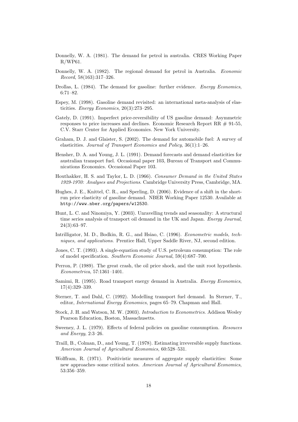- Donnelly, W. A. (1981). The demand for petrol in australia. CRES Working Paper  $R/WP61$ .
- Donnelly, W. A. (1982). The regional demand for petrol in Australia. *Economic Record*, 58(163):317–326.
- Drollas, L. (1984). The demand for gasoline: further evidence. *Energy Economics*, 6:71–82.
- Espey, M. (1998). Gasoline demand revisited: an international meta-analysis of elasticities. *Energy Economics*, 20(3):273–295.
- Gately, D. (1991). Imperfect price-reversibility of US gasoline demand: Asymmetric responses to price increases and declines. Economic Research Report RR # 91-55, C.V. Starr Center for Applied Economics. New York University.
- Graham, D. J. and Glaister, S. (2002). The demand for automobile fuel: A survey of elasticities. *Journal of Transport Economics and Policy*, 36(1):1–26.
- Hensher, D. A. and Young, J. L. (1991). Demand forecasts and demand elasticities for australian transport fuel. Occasional paper 103, Bureau of Transport and Communications Economics. Occasional Paper 103.
- Houthakker, H. S. and Taylor, L. D. (1966). *Consumer Demand in the United States 1929-1970: Analyses and Projections*. Cambridge University Press, Cambridge, MA.
- Hughes, J. E., Knittel, C. R., and Sperling, D. (2006). Evidence of a shift in the shortrun price elasticity of gasoline demand. NBER Working Paper 12530. Available at http://www.nber.org/papers/w12530.
- Hunt, L. C. and Ninomiya, Y. (2003). Unravelling trends and seasonality: A structural time series analysis of transport oil demand in the UK and Japan. *Energy Journal*, 24(3):63–97.
- Intrilligator, M. D., Bodkin, R. G., and Hsiao, C. (1996). *Econometric models, techniques, and applications*. Prentice Hall, Upper Saddle River, NJ, second edition.
- Jones, C. T. (1993). A single-equation study of U.S. petroleum consumption: The role of model specification. *Southern Economic Journal*, 59(4):687–700.
- Perron, P. (1989). The great crash, the oil price shock, and the unit root hypothesis. *Econometrica*, 57:1361–1401.
- Samimi, R. (1995). Road transport energy demand in Australia. *Energy Economics*, 17(4):329–339.
- Sterner, T. and Dahl, C. (1992). Modelling transport fuel demand. In Sterner, T., editor, *International Energy Economics*, pages 65–79. Chapman and Hall.
- Stock, J. H. and Watson, M. W. (2003). *Introduction to Econometrics*. Addison Wesley Pearson Education, Boston, Massachusetts.
- Sweeney, J. L. (1979). Effects of federal policies on gasoline consumption. *Resouces and Energy*, 2:3–26.
- Traill, B., Colman, D., and Young, T. (1978). Estimating irreversible supply functions. *American Journal of Agricultural Economics*, 60:528–531.
- Wolffram, R. (1971). Positivistic measures of aggregate supply elasticities: Some new approaches–some critical notes. *American Journal of Agricultural Economics*, 53:356–359.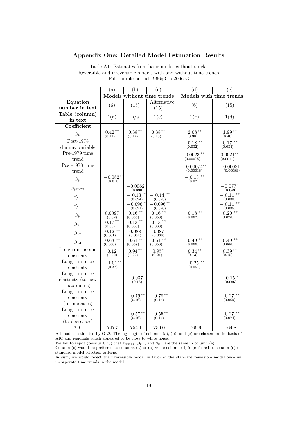### **Appendix One: Detailed Model Estimation Results**

|                               | (a)                  | (b)                            | (c)                         | (d)                     | (e)                                  |
|-------------------------------|----------------------|--------------------------------|-----------------------------|-------------------------|--------------------------------------|
|                               |                      |                                | Models without time trends  | Models with time trends |                                      |
| Equation                      | (6)                  | (15)                           | Alternative                 | (6)                     | (15)                                 |
| number in text                |                      |                                | (15)                        |                         |                                      |
| Table (column)                | 1(a)                 | n/a                            | 1(c)                        | 1(b)                    | 1(d)                                 |
| in text                       |                      |                                |                             |                         |                                      |
| Coefficient                   |                      |                                |                             |                         |                                      |
| $\beta_0$                     | $0.42**$<br>(0.11)   | $0.38**$<br>(0.14)             | $0.38**$<br>(0.13)          | $2.08**$<br>(0.38)      | $1.99**$<br>(0.40)                   |
| Post-1978                     |                      |                                |                             | $0.18***$               | $0.17$ **                            |
| dummy variable                |                      |                                |                             | (0.032)                 | (0.034)                              |
| Pre-1979 time                 |                      |                                |                             | $0.0023$ **             | $0.0021**$                           |
| trend                         |                      |                                |                             | (0.00075)               | (0.0011)                             |
| Post-1978 time                |                      |                                |                             | $-0.00074**$            | $\textcolor{red}{\textbf{-0.00081}}$ |
| trend                         |                      |                                |                             | (0.00018)               | (0.00089)                            |
| $\beta_p$                     | $0.082**$<br>(0.015) |                                |                             | $-0.13$ **<br>(0.021)   |                                      |
| $\beta_{pmax}$                |                      | $-0.0062$                      |                             |                         | $\cdot\,0.077^{\,*}$                 |
|                               |                      | (0.030)<br>$-0.13$ **          | $***$<br>$-0.14$            |                         | (0.043)<br>$-0.14$                   |
| $\beta_{p+}$                  |                      | (0.024)                        | (0.023)                     |                         | (0.030)                              |
| $\beta_{p-}$                  |                      | $-0.096^{\ast\ast}$<br>(0.021) | $-0.096**$<br>(0.020)       |                         | $-0.14$ **<br>(0.035)                |
| $\beta_y$                     | 0.0097<br>(0.02)     | $0.16$ **<br>(0.055)           | $0.16$ **<br>(0.050)        | $0.18$ **<br>(0.062)    | $0.20$ **<br>(0.076)                 |
| $\beta_{v1}$                  | $0.17***$<br>(0.06)  | $0.13$ **<br>(0.060)           | $0.13$ **<br>(0.060)        |                         |                                      |
| $\beta_{v2}$                  | $0.12$ **<br>(0.061) | 0.088<br>(0.061)               | 0.087<br>(0.060)            |                         |                                      |
| $\beta_{v4}$                  | $0.63$ **<br>(0.058) | $0.61$ **<br>(0.057)           | $0.61$ **<br>(0.056)        | $0.49$ **<br>(0.066)    | $0.49**$<br>(0.066)                  |
| Long-run income<br>elasticity | 0.12<br>(0.22)       | $0.94***$<br>(0.22)            | $0.95*$<br>(0.21)           | $0.34***$<br>(0.13)     | $0.39**$<br>(0.15)                   |
| Long-run price                |                      |                                |                             |                         |                                      |
| elasticity                    | $1.01***$<br>(0.37)  |                                |                             | $0.25$ **<br>(0.051)    |                                      |
| Long-run price                |                      |                                |                             |                         |                                      |
| elasticity (to new            |                      | $-0.037$<br>(0.18)             |                             |                         | $-~0.15$ *<br>(0.086)                |
| maximums)                     |                      |                                |                             |                         |                                      |
| Long-run price                |                      |                                |                             |                         |                                      |
| elasticity                    |                      | $-0.79**$<br>(0.16)            | $-0.78**$<br>(0.15)         |                         | $-0.27$ **<br>(0.069)                |
| (to increases)                |                      |                                |                             |                         |                                      |
| Long-run price                |                      |                                |                             |                         |                                      |
| elasticity                    |                      | $-0.57**$<br>(0.16)            | - $0.55^{\,*\,*}$<br>(0.14) |                         | - 0.27 **<br>(0.074)                 |
| (to decreases)                |                      |                                |                             |                         |                                      |
| AIC                           | $-747.5$             | $-754.1$                       | $-756.0$                    | $-766.9$                | $-764.8$                             |

Table A1: Estimates from basic model without stocks Reversible and irreversible models with and without time trends Full sample period 1966q3 to 2006q3

All models estimated by OLS. The lag length of columns (a), (b), and (c) are chosen on the basis of AIC and residuals which appeared to be close to white noise.

We fail to reject (p-value 0.40) that  $\beta_{pmax}$ ,  $\beta_{p+}$ , and  $\beta_{p-}$  are the same in column (e).<br>Column (c) would be preferred to columns (a) or (b) while column (d) is preferred to column (e) on standard model selection criteria.

In sum, we would reject the irreversible model in favor of the standard reversible model once we incorporate time trends in the model.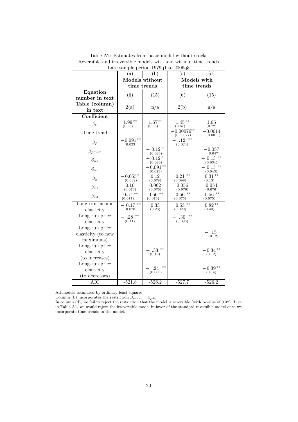|                                                   |                          | Late sample period 191941 to 200040 |                          |                          |
|---------------------------------------------------|--------------------------|-------------------------------------|--------------------------|--------------------------|
|                                                   | (a)                      | (b)                                 | $\rm (c)$                | (d)                      |
|                                                   | Models without           |                                     |                          | Models with              |
|                                                   | time trends              |                                     | time trends              |                          |
| Equation                                          | (6)                      | (15)                                | (6)                      | (15)                     |
| number in text                                    |                          |                                     |                          |                          |
| Table (column)                                    | 2(a)                     | n/a                                 | 2(b)                     | n/a                      |
| in text                                           |                          |                                     |                          |                          |
| Coefficient                                       |                          |                                     |                          |                          |
| $\beta_0$                                         | $1.99**$<br>(0.66)       | $1.67***$<br>(0.65)                 | $1.45***$<br>(0.67)      | 1.06<br>(0.72)           |
| Time trend                                        |                          |                                     | $0.00076**$<br>(0.00027) | $-0.0014$<br>(0.0011)    |
| $\beta_p$                                         | $-0.091**$<br>(0.023)    |                                     | .12<br>(0.024)           |                          |
| $\beta_{pmax}$                                    |                          | $-0.12$ $*$<br>(0.026)              |                          | $-0.057\$<br>(0.047)     |
| $\beta_{p+}$                                      |                          | $0.12*$<br>(0.026)                  |                          | $0.13$ **<br>(0.034)     |
| $\beta_{p-}$                                      |                          | $-0.091**$<br>(0.023)               |                          | $0.15$ **<br>(0.043)     |
| $\beta_y$                                         | $0.055*$<br>(0.032)      | 0.12<br>(0.078)                     | $0.21$ **<br>(0.099)     | $0.31***$<br>(0.13)      |
| $\beta_{v1}$                                      | 0.10<br>(0.076)          | $\,0.062\,$<br>(0.076)              | 0.056<br>(0.076)         | 0.054<br>(0.076)         |
| $\beta_{v4}$                                      | $***$<br>0.57<br>(0.077) | $0.56$ **<br>(0.076)                | $0.56$ **<br>(0.075)     | $***$<br>0.56<br>(0.075) |
| Long-run income<br>elasticity                     | $-0.17$ **<br>(0.078)    | 0.33<br>(0.23)                      | $***$<br>0.53<br>(0.029) | $0.82**$<br>(0.40)       |
| Long-run price<br>elasticity                      | $28**$<br>(0.11)         |                                     | $***$<br>30<br>(0.093)   |                          |
| Long-run price<br>elasticity (to new<br>maximums) |                          |                                     |                          | .15<br>(0.12)            |
| Long-run price<br>elasticity<br>(to increases)    |                          | $**$<br>33<br>(0.10)                |                          | $-0.34**$<br>(0.12)      |
| Long-run price<br>elasticity<br>(to decreases)    |                          | **<br>.24<br>(0.085)                |                          | $-0.39**$<br>(0.14)      |
| $\rm AIC$                                         | $-521.8$                 | $-526.2$                            | $-527.7$                 | $-526.2$                 |

Table A2: Estimates from basic model without stocks Reversible and irreversible models with and without time trends Late sample period 1979q1 to 2006q3

All models estimated by ordinary least squares.

Column (b) incorporates the restriction  $\beta_{pmax} = \beta_{p+}$ .

In column (d), we fail to reject the restriction that the model is reversible (with p-value of 0.32). Like in Table A1, we would reject the irreversible model in favor of the standard reversible model once we incorporate time trends in the model.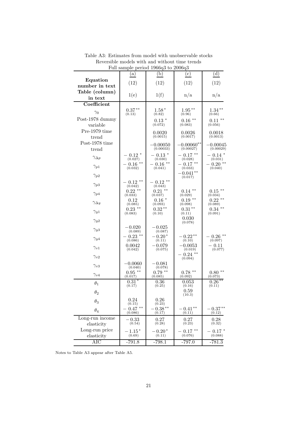|                               |                       | r un sample period 1900q0 to 2000q0 |                       |                          |
|-------------------------------|-----------------------|-------------------------------------|-----------------------|--------------------------|
|                               | (a)                   | (b)                                 | $\rm ^{(c)}$          | (d)                      |
| Equation                      | (12)                  | (12)                                | (12)                  | (12)                     |
| number in text                |                       |                                     |                       |                          |
| Table (column)<br>in text     | 1(e)                  | 1(f)                                | n/a                   | n/a                      |
| Coefficient                   |                       |                                     |                       |                          |
|                               | $0.37**$              | $1.58*$                             | $1.95**$              | $1.34***$                |
| $\gamma_0$<br>Post-1978 dummy | (0.13)                | (0.82)                              | (0.96)                | (0.66)                   |
| variable                      |                       | $0.13*$<br>(0.072)                  | $0.16$ **<br>(0.083)  | $0.11***$<br>(0.056)     |
| Pre-1979 time                 |                       | 0.0020                              | 0.0026                | 0.0018                   |
| trend                         |                       | (0.0015)                            | (0.0017)              | (0.0013)                 |
| Post-1978 time                |                       | 0.00050                             | $0.00060**$           | 0.00045                  |
| trend                         |                       | (0.00033)                           | (0.00027)             | (0.00029)                |
| $\gamma_{\Delta p}$           | $-0.12*$<br>(0.027)   | - 0.13 $^{\ast}$<br>(0.030)         | $-0.17$ **<br>(0.028) | - 0.14 *<br>(0.031)      |
| $\gamma_{p1}$                 | $-0.16$ **<br>(0.032) | $-0.16$ **<br>(0.041)               | $-0.17$ **<br>(0.033) | $-0.20$ **<br>(0.040)    |
|                               |                       |                                     | $-0.041**$            |                          |
| $\gamma_{p2}$                 | $0.12$ **             | $0.12$ **                           | (0.017)               |                          |
| $\gamma_{p3}$                 | (0.042)               | (0.043)<br>$***$                    | $***$                 |                          |
| $\gamma_{p4}$                 | $0.22$ **<br>(0.033)  | 0.21<br>(0.037)                     | 0.14<br>(0.029)       | $0.15$ **<br>(0.034)     |
| $\gamma_{\Delta y}$           | 0.12<br>(0.085)       | $0.16*$<br>(0.093)                  | $0.19$ **<br>(0.098)  | $0.22$ **<br>(0.089)     |
| $\gamma_{y1}$                 | $0.23$ **<br>(0.083)  | $0.32**$<br>(0.10)                  | $0.31***$<br>(0.11)   | $0.34$ **<br>(0.091)     |
| $\gamma_{y2}$                 |                       |                                     | 0.030<br>(0.078)      |                          |
| $\gamma_{y3}$                 | - 0.020<br>(0.089)    | $-0.025$<br>(0.087)                 |                       |                          |
| $\gamma_{y4}$                 | $0.23$ **<br>(0.086)  | $-0.20*$<br>(0.11)                  | $-0.22**$<br>(0.10)   | - 0.26 **<br>(0.097)     |
| $\gamma_{v1}$                 | 0.0042<br>(0.042)     | - 0.079<br>(0.075)                  | -0.0053<br>(0.019)    | - 0.11<br>(0.077)        |
| $\gamma_{v2}$                 |                       |                                     | $0.24$ **<br>(0.094)  |                          |
| $\gamma_{v3}$                 | $-0.0060$<br>(0.040)  | $\!-0.081$<br>(0.078)               |                       |                          |
| $\gamma_{v4}$                 | $0.95***$<br>(0.017)  | $0.79$ <sup>**</sup><br>(0.085)     | $0.78$ **<br>(0.092)  | $***$<br>0.80<br>(0.073) |
| $\theta_1$                    | $0.31*$<br>(0.17)     | 0.36<br>(0.25)                      | $\,0.053\,$<br>(0.16) | $0.26***$<br>(0.11)      |
| $\theta_2$                    |                       |                                     | 0.59<br>(10.3)        |                          |
| $\theta_3$                    | 0.24<br>(0.15)        | 0.26<br>(0.23)                      |                       |                          |
| $\theta_4$                    | $0.47$ **<br>(0.086)  | $0.38**$<br>(0.17)                  | $-0.41**$<br>(0.11)   | $-0.37**$<br>(0.12)      |
| Long-run income<br>elasticity | $-0.33$<br>(0.54)     | 0.27<br>(0.28)                      | 0.27<br>(0.23)        | 0.28<br>(0.32)           |
| Long-run price<br>elasticity  | $1.15*$<br>(0.69)     | $0.20*$<br>(0.11)                   | $0.17$ **<br>(0.076)  | $0.17*$<br>(0.088)       |
| <b>AIC</b>                    | $-791.8$              | $-798.1$                            | $-797.0$              | $-781.3$                 |

Table A3: Estimates from model with unobservable stocks Reversible models with and without time trends Full sample period 1966q3 to 2006q3

Notes to Table A3 appear after Table A5.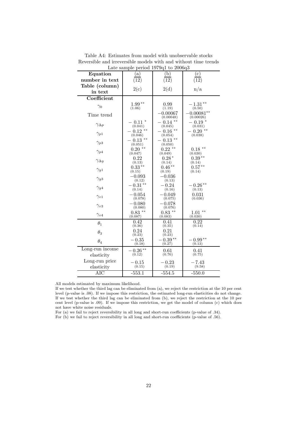| Date sample period 191901 to 200000 |                       |                              |                           |  |
|-------------------------------------|-----------------------|------------------------------|---------------------------|--|
| Equation                            | (a)                   | (b)                          | (c)                       |  |
| number in text                      | (12)                  | (12)                         | (12)                      |  |
| Table (column)                      | 2(c)                  | 2(d)                         | n/a                       |  |
| in text                             |                       |                              |                           |  |
| Coefficient                         |                       |                              |                           |  |
| $\gamma_0$                          | $1.99***$<br>(1.06)   | 0.99<br>(1.19)               | $-1.31**$<br>(0.50)       |  |
| Time trend                          |                       | $-0.00067$<br>(0.00048)      | $-0.00081**$<br>(0.00026) |  |
| $\gamma_{\Delta p}$                 | $-0.11$<br>(0.041)    | $***$<br>$-0.14$<br>(0.045)  | $-0.19*$<br>(0.031)       |  |
| $\gamma_{p1}$                       | $-0.12$ **<br>(0.046) | $***$<br>$= 0.16$<br>(0.054) | $-0.20$ **<br>(0.038)     |  |
| $\gamma_{p3}$                       | $-0.13$ **<br>(0.051) | $-0.13$ **<br>(0.050)        |                           |  |
| $\gamma_{p4}$                       | $0.20$ **<br>(0.047)  | $0.22$ **<br>(0.049)         | $0.18***$<br>(0.030)      |  |
| $\gamma_{\Delta y}$                 | 0.22<br>(0.13)        | $0.28*$<br>(0.14)            | $0.39**$<br>(0.14)        |  |
| $\gamma_{y1}$                       | $0.33***$<br>(0.15)   | $0.46**$<br>(0.19)           | $0.57***$<br>(0.14)       |  |
| $\gamma_{y3}$                       | $-0.093$<br>(0.12)    | $-0.036$<br>(0.13)           |                           |  |
| $\gamma_{y4}$                       | $-0.31**$<br>(0.14)   | $-0.24$<br>(0.16)            | $-0.26**$<br>(0.13)       |  |
| $\gamma_{v1}$                       | $-0.054$<br>(0.078)   | $-0.049$<br>(0.075)          | 0.031<br>(0.036)          |  |
| $\gamma_{v3}$                       | $-0.080$<br>(0.080)   | $-0.078$<br>(0.076)          |                           |  |
| $\gamma_{v4}$                       | $0.83$ **<br>(0.087)  | $0.83$ **<br>(0.083)         | $***$<br>1.01<br>(0.030)  |  |
| $\theta_1$                          | 0.42<br>(0.36)        | 0.41<br>(0.35)               | 0.22<br>(0.14)            |  |
| $\theta_3$                          | 0.24<br>(0.23)        | 0.21<br>(0.23)               |                           |  |
| $\theta_4$                          | $-0.35$<br>(0.18)     | $-0.39**$<br>(0.27)          | $-0.99**$<br>(0.13)       |  |
| Long-run income<br>elasticity       | $-0.26**$<br>(0.12)   | 0.61<br>(0.76)               | 0.41<br>(0.75)            |  |
| Long-run price<br>elasticity        | $-0.15$<br>(0.15)     | $-0.23$<br>(0.19)            | $-7.43$<br>(9.58)         |  |
| $\rm AIC$                           | $-553.1$              | $-554.5$                     | $-550.0$                  |  |

Table A4: Estimates from model with unobservable stocks Reversible and irreversible models with and without time trends Late sample period  $1979a1$  to  $2006a3$ 

All models estimated by maximum likelihood.

If we test whether the third lag can be eliminated from (a), we reject the restriction at the 10 per cent level (p-value is .08). If we impose this restriction, the estimated long-run elasticities do not change. If we test whether the third lag can be eliminated from (b), we reject the restriction at the 10 per cent level (p-value is .09). If we impose this restriction, we get the model of column (c) which does not have white noise residuals.

For (a) we fail to reject reversibility in all long and short-run coefficients (p-value of .34).

For (b) we fail to reject reversibility in all long and short-run coefficients (p-value of .56).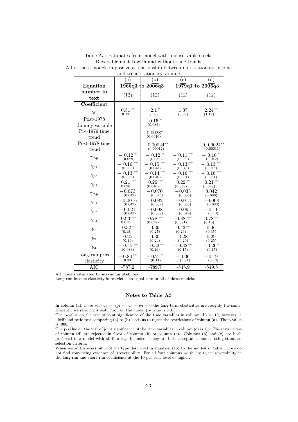| and trend stationary volume |                          |                             |                              |                          |
|-----------------------------|--------------------------|-----------------------------|------------------------------|--------------------------|
|                             | a)                       | (b)                         | $^{\rm (c)}$                 | (d)                      |
| Equation                    |                          | 1966q3 to 2006q3            |                              | 1979q1 to 2006q3         |
| number in                   | (12)                     | (12)                        | (12)                         | (12)                     |
| text                        |                          |                             |                              |                          |
| Coefficient                 |                          |                             |                              |                          |
| $\gamma_0$                  | $0.51***$<br>(0.13)      | $2.1*$<br>(1.0)             | 1.07<br>(0.88)               | $2.24***$<br>(1.12)      |
| Post-1978                   |                          | 0.15                        |                              |                          |
| dummy variable              |                          | (0.085)                     |                              |                          |
| Pre-1979 time               |                          | $0.0028*$                   |                              |                          |
| trend                       |                          | (0.0016)                    |                              |                          |
| Post-1978 time              |                          | $-0.00024**$                |                              | $0.00024**$              |
| trend                       |                          | (0.00012)                   |                              | (0.00011)                |
| $\gamma_{\Delta p}$         | $0.12*$<br>(0.029)       | $0.12*$<br>(0.032)          | $***$<br>0.11<br>(0.039)     | $-0.10*$<br>(0.042)      |
| $\gamma_{p1}$               | $***$<br>0.16<br>(0.035) | $0.15$ **<br>(0.043)        | $-0.13$ **<br>(0.045)        | $***$<br>0.13<br>(0.048) |
| $\gamma_{p3}$               | $***$<br>0.13<br>(0.039) | $***$<br>$-0.14$<br>(0.040) | $***$<br>$= 0.16$<br>(0.051) | $***$<br>0.16<br>(0.051) |
| $\gamma_{p4}$               | $0.21$ **<br>(0.036)     | $0.20$ **<br>(0.040)        | $0.22$ **<br>(0.048)         | $0.21$ **<br>(0.048)     |
| $\gamma_{\Delta y}$         | $-0.073$<br>(0.047)      | $-0.070$<br>(0.045)         | $-0.033$<br>(0.095)          | 0.042<br>(0.086)         |
| $\gamma_{v1}$               | $-0.0016$<br>(0.047)     | $-0.082$<br>(0.082)         | $-0.013$<br>(0.063)          | $-0.068$<br>(0.083)      |
| $\gamma_{v3}$               | $-0.021$<br>(0.043)      | $-0.098$<br>(0.088)         | $-0.065$<br>(0.079)          | $-0.11$<br>(0.10)        |
| $\gamma_{v4}$               | $0.93$ **<br>(0.015)     | $0.78$ **<br>(0.098)        | $0.88***$<br>(0.081)         | $0.78***$<br>(0.10)      |
| $\theta_1$                  | $0.32*$<br>(0.18)        | 0.39<br>(0.27)              | $0.43**$<br>(0.26)           | 0.46<br>(0.35)           |
| $\theta_3$                  | 0.25<br>(0.16)           | 0.30<br>(0.24)              | 0.28<br>(0.20)               | 0.29<br>(0.25)           |
| $\theta_4$                  | $***$<br>0.45<br>(0.083) | $0.32**$<br>(0.16)          | $0.32**$<br>(0.15)           | - $0.26*$<br>(0.15)      |
| Long-run price              | $-0.80**$                | $-0.21*$                    | $-0.36$                      | $-0.19$                  |
| elasticity                  | (0.33)                   | (0.11)                      | (0.31)                       | (0.13)                   |
| $\rm{AIC}$                  | $-787.2$                 | $-789.7$                    | $-545.9$                     | $-549.5$                 |

Table A5: Estimates from model with unobservable stocks Reversible models with and without time trends All of these models impose zero relationship between non-stationary income

All models estimated by maximum likelihood.

Long-run income elasticity is restricted to equal zero in all of these models.

#### **Notes to Table A3**

In column (a), if we set  $\gamma_{p3} = \gamma_{y3} = \gamma_{v3} = \theta_3 = 0$  the long-term elasticities are roughly the same. However, we reject this restriction on the model (p-value is 0.01).

The p-value on the test of joint significance of the time variables in column (b) is .19, however, a likelihood ratio test comparing (a) to (b) leads us to reject the restrictions of column (a). The p-value is .006.

The p-value on the test of joint significance of the time variables in column (c) is .05. The restrictions of column (d) are rejected in favor of column (b) or column (c). Columns (b) and (c) are both preferred to a model with all four lags included. They are both acceptable models using standard selection criteria.

When we add irreversibility of the type described in equation (16) to the models of table 11, we do not find convincing evidence of irreversibility. For all four columns we fail to reject reversibility in the long-run and short-run coefficients at the 10 per cent level or higher.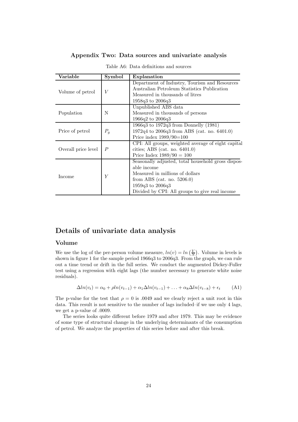| Appendix Two: Data sources and univariate analysis |  |  |  |  |  |
|----------------------------------------------------|--|--|--|--|--|
|----------------------------------------------------|--|--|--|--|--|

| Variable            | Symbol           | Explanation                                        |
|---------------------|------------------|----------------------------------------------------|
|                     |                  | Department of Industry, Tourism and Resources      |
| Volume of petrol    | V                | Australian Petroleum Statistics Publication        |
|                     |                  | Measured in thousands of litres                    |
|                     |                  | 1958q3 to 2006q3                                   |
|                     |                  | Unpublished ABS data                               |
| Population          | N                | Measured in thousands of persons                   |
|                     |                  | $1966q2$ to $2006q3$                               |
|                     |                  | $1966q3$ to $1972q3$ from Donnelly $(1981)$        |
| Price of petrol     | $P_q$            | $1972q4$ to $2006q3$ from ABS (cat. no. 6401.0)    |
|                     |                  | Price index $1989/90=100$                          |
|                     |                  | CPI: All groups, weighted average of eight capital |
| Overall price level | $\boldsymbol{P}$ | cities; ABS (cat. no. $6401.0$ )                   |
|                     |                  | Price Index $1989/90 = 100$                        |
|                     |                  | Seasonally adjusted, total household gross dispos- |
|                     |                  | able income                                        |
|                     | Y                | Measured in millions of dollars                    |
| Income              |                  | from ABS (cat. no. $5206.0$ )                      |
|                     |                  | $1959q3$ to $2006q3$                               |
|                     |                  | Divided by CPI: All groups to give real income     |

Table A6: Data definitions and sources

#### **Volume**

**Details of univariate data analysis**<br> **Volume**<br>
We use the log of the per-person volume measure,  $ln(v) = ln(\frac{V}{\Delta})$ shown in figure 1 for the sample period 1966q3 to 2006q3. From the graph, we can rule . Volume in levels is out a time trend or drift in the full series. We conduct the augmented Dickey-Fuller test using a regression with eight lags (the number necessary to generate white noise residuals).

$$
\Delta ln(v_t) = \alpha_0 + \rho ln(v_{t-1}) + \alpha_1 \Delta ln(v_{t-1}) + \ldots + \alpha_8 \Delta ln(v_{t-8}) + \epsilon_t
$$
 (A1)

The p-value for the test that  $\rho = 0$  is .0049 and we clearly reject a unit root in this data. This result is not sensitive to the number of lags included–if we use only 4 lags, we get a p-value of .0009.

The series looks quite different before 1979 and after 1979. This may be evidence of some type of structural change in the underlying determinants of the consumption of petrol. We analyze the properties of this series before and after this break.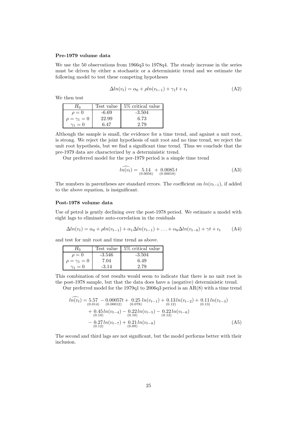#### **Pre-1979 volume data**

We use the 50 observations from 1966q3 to 1978q4. The steady increase in the series must be driven by either a stochastic or a deterministic trend and we estimate the following model to test these competing hypotheses

$$
\Delta ln(v_t) = \alpha_0 + \rho ln(v_{t-1}) + \gamma_1 t + \epsilon_t \tag{A2}
$$

We then test

| $H_0$                 | Test value | 5\% critical value |
|-----------------------|------------|--------------------|
| $\rho=0$              | $-6.69$    | $-3.504$           |
| $\rho = \gamma_1 = 0$ | 22.99      | 6.73               |
| $\gamma_1=0$          | 6.47       | 2.79               |

Although the sample is small, the evidence for a time trend, and against a unit root, is strong. We reject the joint hypothesis of unit root and no time trend, we reject the unit root hypothesis, but we find a significant time trend. Thus we conclude that the pre-1979 data are characterized by a deterministic trend. find a significa<br>ed by a detern<br>he per-1979 pe<br> $\widehat{ln(v_t)} = 5.14$ <br> $(0.0056)$ 

Our preferred model for the per-1979 period is a simple time trend

$$
l\widehat{n(v_t)} = 5.14 + 0.0085 t
$$
  
(0.00056) (0.00018) (A3)

The numbers in parentheses are standard errors. The coefficient on  $ln(v_{t-1})$ , if added to the above equation, is insignificant.

#### **Post-1978 volume data**

Use of petrol is gently declining over the post-1978 period. We estimate a model with eight lags to eliminate auto-correlation in the residuals

$$
\Delta ln(v_t) = \alpha_0 + \rho ln(v_{t-1}) + \alpha_1 \Delta ln(v_{t-1}) + \ldots + \alpha_8 \Delta ln(v_{t-8}) + \gamma t + \epsilon_t
$$
 (A4)

and test for unit root and time trend as above.

| $H_0$                 |          | Test value $\frac{15\%}{100}$ critical value |
|-----------------------|----------|----------------------------------------------|
| $\rho=0$              | $-3.546$ | $-3.504$                                     |
| $\rho = \gamma_1 = 0$ | 7.04     | 6.49                                         |
| $\gamma_1=0$          | $-3.14$  | 2.79                                         |

This combination of test results would seem to indicate that there is no unit root in the post-1978 sample, but that the data does have a (negative) deterministic trend. ombination of<br>st-1978 samp<br>r preferred m<br> $\widehat{ln(v_t)} = 5.57$ <br> $\widehat{0.014}$ 

Our preferred model for the 1979q1 to 2006q3 period is an AR(8) with a time trend

$$
ln(\widehat{v_t}) = 5.57 - 0.00057t + 0.25 ln(v_{t-1}) + 0.13ln(v_{t-2}) + 0.11ln(v_{t-3})
$$
  
\n
$$
+ 0.45ln(v_{t-4}) - 0.22ln(v_{t-5}) - 0.22ln(v_{t-6})
$$
  
\n
$$
- 0.27ln(v_{t-7}) + 0.21ln(v_{t-8})
$$
  
\n
$$
- 0.27ln(v_{t-7}) + 0.21ln(v_{t-8})
$$
  
\n(A5)

The second and third lags are not significant, but the model performs better with their inclusion.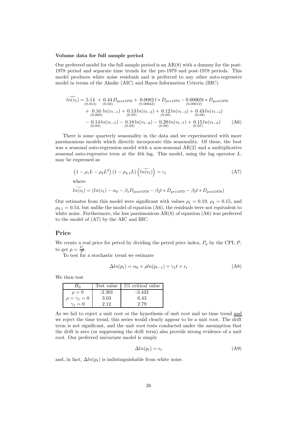#### **Volume data for full sample period**

Our preferred model for the full sample period is an  $AR(8)$  with a dummy for the post-1978 period and separate time trends for the pre-1979 and post-1978 periods. This model produces white noise residuals and is preferred to any other auto-regressive model in terms of the Akaike (AIC) and Bayes Information Criteria (BIC). el produces w<br>
ln terms of<br>  $\widehat{ln(v_t)} = 5.14$ <br>  $\widehat{ln(v_t)} = 5.14$ 

$$
ln(v_t) = 5.14 + 0.44 D_{post1978} + 0.0082 t * D_{pre1979} - 0.00065 t * D_{post1978}
$$
  
+ 0.16 ln(v<sub>t-1</sub>) + 0.13 ln(v<sub>t-2</sub>) + 0.12 ln(v<sub>t-3</sub>) + 0.43 ln(v<sub>t-4</sub>)  
(0.069)  
- 0.14 ln(v<sub>t-5</sub>) - 0.18 ln(v<sub>t-6</sub>) - 0.20 ln(v<sub>t-7</sub>) + 0.15 ln(v<sub>t-8</sub>) (0.69)  
(0.09) (0.09)

There is some quarterly seasonality in the data and we experimented with more parsimonious models which directly incorporate this seasonality. Of these, the best parsimolities models which differently incorporate this seasonality. Or these, the best<br>was a seasonal auto-regression model with a non-seasonal AR(2) and a multiplicative seasonal auto-regressive term at the 4th lag. This model, using the lag operator L, may be expressed as sonal auto-regression model with a<br>auto-regressive term at the 4th lag<br>xpressed as<br> $1 - \rho_1 L - \rho_2 L^2 (1 - \rho_{4,1} L) (\widetilde{ln(v_t)}$ 

$$
(1 - \rho_1 L - \rho_2 L^2) (1 - \rho_{4,1} L) \left( l \widetilde{n(v_t)} \right) = \varepsilon_t
$$
\nwhere\n
$$
l \widetilde{n(v_t)} = (ln(v_t) - \alpha_0 - \beta_1 D_{post1978} - \beta_2 t * D_{pre1979} - \beta_3 t * D_{post1978})
$$
\n(A7)

where

$$
\widetilde{ln(v_t)} = (ln(v_t) - \alpha_0 - \beta_1 D_{post1978} - \beta_2 t * D_{pre1979} - \beta_3 t * D_{post1978})
$$

Our estimates from this model were significant with values  $\rho_1 = 0.19$ ,  $\rho_2 = 0.15$ , and  $\rho_{4,1} = 0.54$ , but unlike the model of equation (A6), the residuals were not equivalent to white noise. Furthermore, the less parsimonious  $AR(8)$  of equation  $(46)$  was preferred to the model of (A7) by the AIC and BIC.

#### **Price**

We create a real price for petrol by dividing the petrol price index,  $P_g$  by the CPI,  $P$ ,

to get  $p = \frac{F_g}{P}$ .<br>To test for a stochastic trend we estimate

$$
\Delta ln(p_t) = \alpha_0 + \rho ln(p_{t-1}) + \gamma_1 t + \epsilon_t \tag{A8}
$$

We then test

|                       | Test value | 5\% critical value |
|-----------------------|------------|--------------------|
| $\rho=0$              | $-2.301$   | $-3.442$           |
| $\rho = \gamma_1 = 0$ | 3.03       | 6.43               |
| $\gamma_1=0$          | 2.12       | 2.79               |

As we fail to reject a unit root or the hypothesis of unit root and no time trend and we reject the time trend, this series would clearly appear to be a unit root. The drift term is not significant, and the unit root tests conducted under the assumption that the drift is zero (or suppressing the drift term) also provide strong evidence of a unit root. Our preferred univariate model is simply

$$
\Delta ln(p_t) = \epsilon_t \tag{A9}
$$

and, in fact,  $\Delta ln(p_t)$  is indistinguishable from white noise.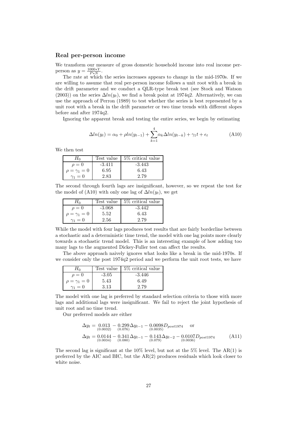#### **Real per-person income**

We transform our measure of gross domestic household income into real income perperson as  $y = \frac{1000*Y}{P*N}$ .<br>The rate at which

The rate at which the series increases appears to change in the mid-1970s. If we are willing to assume that real per-person income follows a unit root with a break in the drift parameter and we conduct a QLR-type break test (see Stock and Watson (2003)) on the series  $\Delta ln(y_t)$ , we find a break point at 1974q2. Alternatively, we can use the approach of Perron (1989) to test whether the series is best represented by a unit root with a break in the drift parameter or two time trends with different slopes before and after 1974q2.

Ignoring the apparent break and testing the entire series, we begin by estimating

a break in the drift parameter or two time trends with different slopes  
\nr 1974q2.  
\ne apparent break and testing the entire series, we begin by estimating  
\n
$$
\Delta ln(y_t) = \alpha_0 + \rho ln(y_{t-1}) + \sum_{k=1}^{4} \alpha_k \Delta ln(y_{t-k}) + \gamma_1 t + \epsilon_t
$$
\n(A10)

We then test

|                       | Test value | 5\% critical value |
|-----------------------|------------|--------------------|
| $\rho=0$              | $-3.411$   | $-3.443$           |
| $\rho = \gamma_1 = 0$ | 6.95       | 6.43               |
| $\gamma_1=0$          | 2.83       | 2.79               |

The second through fourth lags are insignificant, however, so we repeat the test for the model of (A10) with only one lag of  $\Delta ln(y_t)$ , we get

| Ħ۵                    | Test value | 5\% critical value |
|-----------------------|------------|--------------------|
| $\rho=0$              | $-3.068$   | $-3.442$           |
| $\rho = \gamma_1 = 0$ | 5.52       | 6.43               |
| $\gamma_1=0$          | 2.56       | 2.79               |

While the model with four lags produces test results that are fairly borderline between a stochastic and a deterministic time trend, the model with one lag points more clearly towards a stochastic trend model. This is an interesting example of how adding too many lags to the augmented Dickey-Fuller test can affect the results.

The above approach naively ignores what looks like a break in the mid-1970s. If we consider only the post 1974q2 period and we perform the unit root tests, we have

| $H_0$                 | Test value | $5\%$ critical value |
|-----------------------|------------|----------------------|
| $\rho=0$              | $-3.05$    | $-3.446$             |
| $\rho = \gamma_1 = 0$ | 5.43       | 6.49                 |
| $\gamma_1=0$          | 3.13       | 2.79                 |

The model with one lag is preferred by standard selection criteria to those with more lags and additional lags were insignificant. We fail to reject the joint hypothesis of unit root and no time trend.

Our preferred models are either

$$
\Delta y_t = \begin{bmatrix} 0.013 - 0.299 \Delta y_{t-1} - 0.0098 D_{post1974} & \text{or} \\ (0.0032) & (0.076) & (0.0035) \end{bmatrix} \newline \Delta y_t = \begin{bmatrix} 0.0144 - 0.341 \Delta y_{t-1} - 0.143 \Delta y_{t-2} - 0.0107 D_{post1974} \\ (0.0034) & (0.080) & (0.079) \end{bmatrix} \tag{A11}
$$

The second lag is significant at the  $10\%$  level, but not at the  $5\%$  level. The AR(1) is preferred by the AIC and BIC, but the AR(2) produces residuals which look closer to white noise.